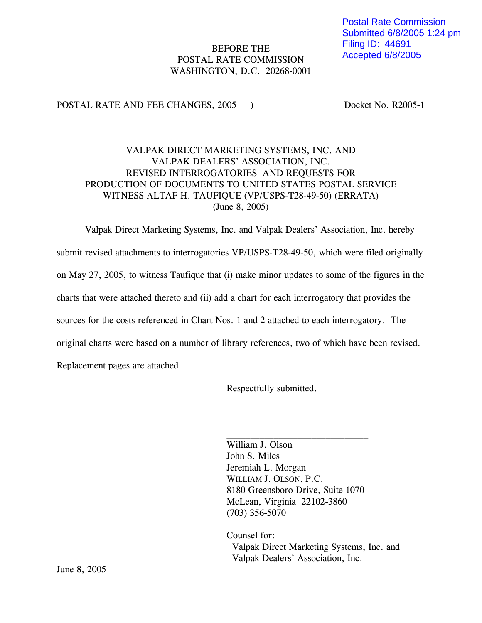## BEFORE THE POSTAL RATE COMMISSION WASHINGTON, D.C. 20268-0001

### POSTAL RATE AND FEE CHANGES, 2005 ) Docket No. R2005-1

## VALPAK DIRECT MARKETING SYSTEMS, INC. AND VALPAK DEALERS' ASSOCIATION, INC. REVISED INTERROGATORIES AND REQUESTS FOR PRODUCTION OF DOCUMENTS TO UNITED STATES POSTAL SERVICE WITNESS ALTAF H. TAUFIQUE (VP/USPS-T28-49-50) (ERRATA) (June 8, 2005)

Valpak Direct Marketing Systems, Inc. and Valpak Dealers' Association, Inc. hereby submit revised attachments to interrogatories VP/USPS-T28-49-50, which were filed originally on May 27, 2005, to witness Taufique that (i) make minor updates to some of the figures in the charts that were attached thereto and (ii) add a chart for each interrogatory that provides the sources for the costs referenced in Chart Nos. 1 and 2 attached to each interrogatory. The original charts were based on a number of library references, two of which have been revised. Replacement pages are attached.

Respectfully submitted,

William J. Olson John S. Miles Jeremiah L. Morgan WILLIAM J. OLSON, P.C. 8180 Greensboro Drive, Suite 1070 McLean, Virginia 22102-3860 (703) 356-5070

Counsel for: Valpak Direct Marketing Systems, Inc. and Valpak Dealers' Association, Inc.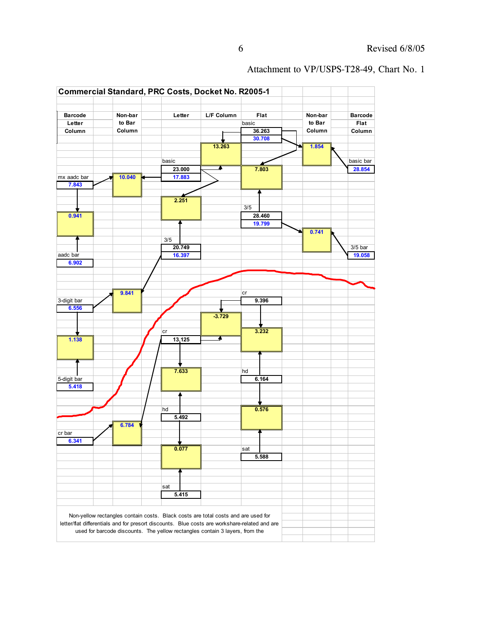

#### Attachment to VP/USPS-T28-49, Chart No. 1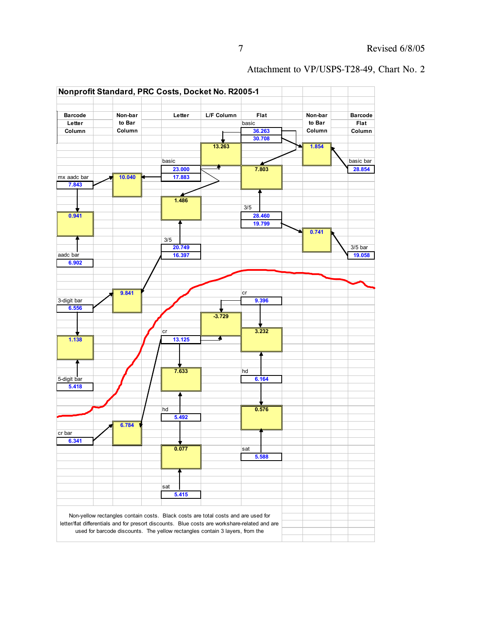

#### Attachment to VP/USPS-T28-49, Chart No. 2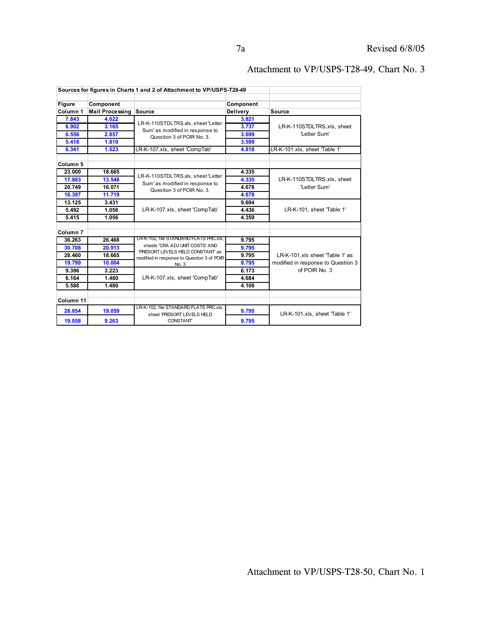|                                        | Sources for figures in Charts 1 and 2 of Attachment to VP/USPS-T28-49 |                                                                                                                                                                      |                       |                                                                                        |
|----------------------------------------|-----------------------------------------------------------------------|----------------------------------------------------------------------------------------------------------------------------------------------------------------------|-----------------------|----------------------------------------------------------------------------------------|
| Component<br><b>Figure</b><br>Column 1 | <b>Mail Processing</b>                                                | Source                                                                                                                                                               | Component<br>Delivery | <b>Source</b>                                                                          |
| 7.843                                  | 4.022                                                                 |                                                                                                                                                                      | 3.821                 | LR-K-110STDLTRS.xls, sheet<br>'Letter Sum'                                             |
| 6.902                                  | 3.165                                                                 | LR-K-110STDLTRS.xls, sheet 'Letter                                                                                                                                   | 3.737                 |                                                                                        |
| 6.556                                  | 2.857                                                                 | Sum'as modified in response to<br>Question 3 of POIR No. 3.                                                                                                          | 3.699                 |                                                                                        |
| 5.418                                  | 1.819                                                                 |                                                                                                                                                                      | 3.599                 |                                                                                        |
| 6.341                                  | 1.523                                                                 | LR-K-107.xls, sheet 'CompTab'                                                                                                                                        | 4.818                 | LR-K-101.xls, sheet 'Table 1'                                                          |
| Column <sub>5</sub>                    |                                                                       |                                                                                                                                                                      |                       |                                                                                        |
| 23.000                                 | 18.665                                                                | LR-K-110STDLTRS.xls, sheet 'Letter<br>Sum'as modified in response to<br>Question 3 of POIR No. 3.                                                                    | 4.335                 | LR-K-110STDLTRS.xls, sheet<br>'Letter Sum'                                             |
| 17.883                                 | 13.548                                                                |                                                                                                                                                                      | 4.335                 |                                                                                        |
| 20.749                                 | 16.071                                                                |                                                                                                                                                                      | 4.678                 |                                                                                        |
| 16.397                                 | 11.719                                                                |                                                                                                                                                                      | 4.678                 |                                                                                        |
| 13.125                                 | 3.431                                                                 |                                                                                                                                                                      | 9.694                 | LR-K-101, sheet Table 1'                                                               |
| 5.492                                  | 1.056                                                                 | LR-K-107.xls, sheet 'CompTab'                                                                                                                                        | 4.436                 |                                                                                        |
| 5.415                                  | 1.056                                                                 |                                                                                                                                                                      | 4.359                 |                                                                                        |
| Column <sub>7</sub>                    |                                                                       |                                                                                                                                                                      |                       |                                                                                        |
| 36.263                                 | 26.468                                                                | LR-K-102, file STANDARD FLATS PRC.xls.<br>sheets 'CRA ADJ UNIT COSTS' AND<br>'PRESORT LEVELS HELD CONSTANT as<br>modified in response to Question 3 of POIR<br>No. 3 | 9.795                 | LR-K-101.xls sheet 'Table 1' as<br>modified in response to Question 3<br>of POIR No. 3 |
| 30.708                                 | 20.913                                                                |                                                                                                                                                                      | 9.795                 |                                                                                        |
| 28.460                                 | 18.665                                                                |                                                                                                                                                                      | 9.795                 |                                                                                        |
| 19.799                                 | 10.004                                                                |                                                                                                                                                                      | 9.795                 |                                                                                        |
| 9.396                                  | 3.223                                                                 | LR-K-107.xls, sheet 'CompTab'                                                                                                                                        | 6.173                 |                                                                                        |
| 6.164                                  | 1.480                                                                 |                                                                                                                                                                      | 4.684                 |                                                                                        |
| 5.588                                  | 1.480                                                                 |                                                                                                                                                                      | 4.108                 |                                                                                        |
| Column 11                              |                                                                       |                                                                                                                                                                      |                       |                                                                                        |
| 28.854                                 | 19.059                                                                | LR-K-102, file STANDARD FLATS PRC.xls,<br>sheet 'PRESORT LEVELS HELD                                                                                                 | 9.795                 | LR-K-101.xls, sheet 'Table 1'                                                          |
| 19.058                                 | 9.263                                                                 | <b>CONSTANT</b>                                                                                                                                                      | 9.795                 |                                                                                        |

## Attachment to VP/USPS-T28-49, Chart No. 3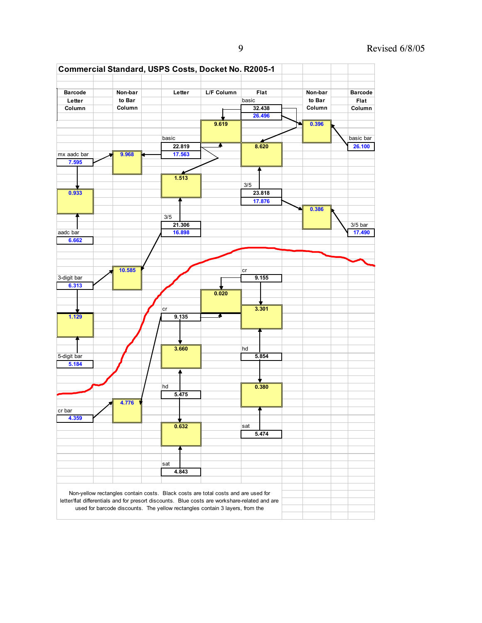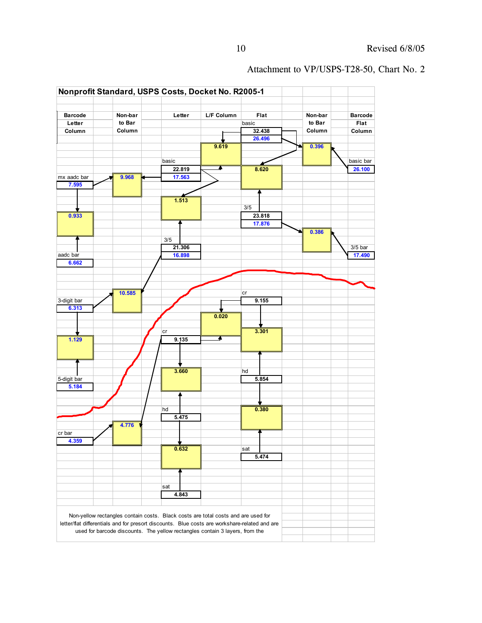

#### Attachment to VP/USPS-T28-50, Chart No. 2